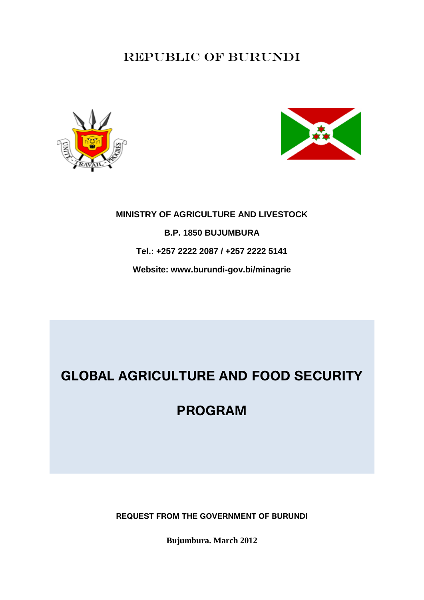# REPUBLIC OF BURUNDI





# **MINISTRY OF AGRICULTURE AND LIVESTOCK B.P. 1850 BUJUMBURA Tel.: +257 2222 2087 / +257 2222 5141 Website: www.burundi-gov.bi/minagrie**

# **GLOBAL AGRICULTURE AND FOOD SECURITY**

**PROGRAM**

**REQUEST FROM THE GOVERNMENT OF BURUNDI**

**Bujumbura. March 2012**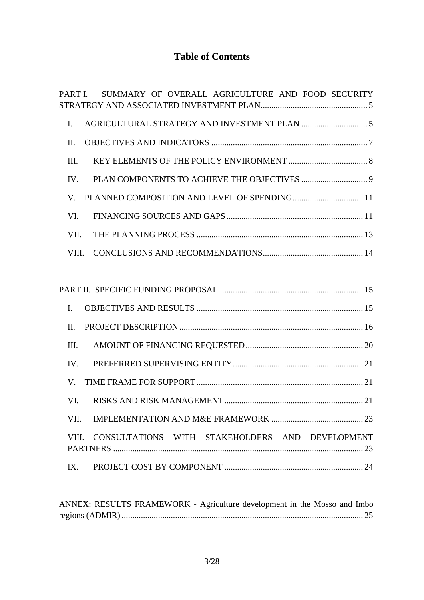# **Table of Contents**

| SUMMARY OF OVERALL AGRICULTURE AND FOOD SECURITY<br>PART I.                         |  |
|-------------------------------------------------------------------------------------|--|
| $\mathbf{I}$ .                                                                      |  |
| II.                                                                                 |  |
| III.                                                                                |  |
| IV.                                                                                 |  |
| $\mathbf V$                                                                         |  |
| VI.                                                                                 |  |
| VII.                                                                                |  |
| VIII.                                                                               |  |
|                                                                                     |  |
|                                                                                     |  |
| $\mathbf{I}$ .                                                                      |  |
| II.                                                                                 |  |
| III.                                                                                |  |
| IV.                                                                                 |  |
| V.                                                                                  |  |
| VI.                                                                                 |  |
|                                                                                     |  |
| VIII. CONSULTATIONS WITH STAKEHOLDERS AND DEVELOPMENT                               |  |
| IX.                                                                                 |  |
| A NNEV. DECHI TC ED A MEWODE $A_{\text{c}}$ declares declares of the Message of Leb |  |

[ANNEX: RESULTS FRAMEWORK -](#page-24-0) Agriculture development in the Mosso and Imbo regions (ADMIR) [.................................................................................................................](#page-24-0) 25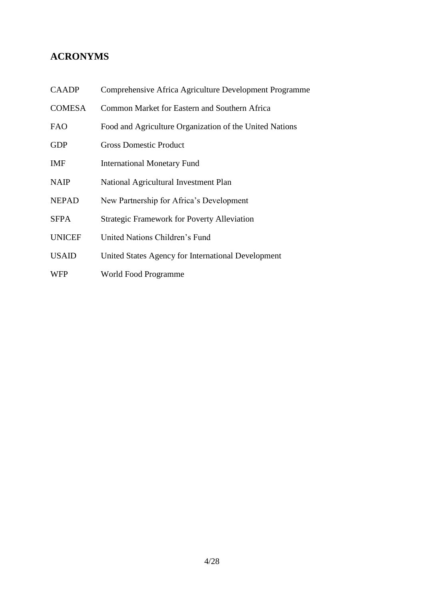## **ACRONYMS**

| <b>CAADP</b>  | Comprehensive Africa Agriculture Development Programme  |
|---------------|---------------------------------------------------------|
| <b>COMESA</b> | Common Market for Eastern and Southern Africa           |
| <b>FAO</b>    | Food and Agriculture Organization of the United Nations |
| <b>GDP</b>    | <b>Gross Domestic Product</b>                           |
| <b>IMF</b>    | <b>International Monetary Fund</b>                      |
| <b>NAIP</b>   | National Agricultural Investment Plan                   |
| <b>NEPAD</b>  | New Partnership for Africa's Development                |
| <b>SFPA</b>   | <b>Strategic Framework for Poverty Alleviation</b>      |
| <b>UNICEF</b> | United Nations Children's Fund                          |
| <b>USAID</b>  | United States Agency for International Development      |
| <b>WFP</b>    | World Food Programme                                    |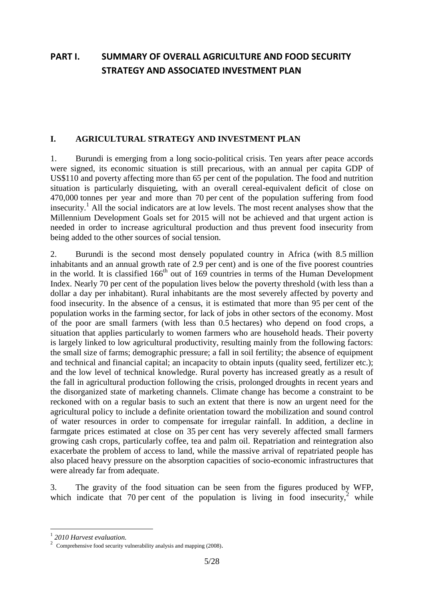# <span id="page-4-0"></span>**PART I. SUMMARY OF OVERALL AGRICULTURE AND FOOD SECURITY STRATEGY AND ASSOCIATED INVESTMENT PLAN**

#### <span id="page-4-1"></span>**I. AGRICULTURAL STRATEGY AND INVESTMENT PLAN**

1. Burundi is emerging from a long socio-political crisis. Ten years after peace accords were signed, its economic situation is still precarious, with an annual per capita GDP of US\$110 and poverty affecting more than 65 per cent of the population. The food and nutrition situation is particularly disquieting, with an overall cereal-equivalent deficit of close on 470,000 tonnes per year and more than 70 per cent of the population suffering from food insecurity.<sup>1</sup> All the social indicators are at low levels. The most recent analyses show that the Millennium Development Goals set for 2015 will not be achieved and that urgent action is needed in order to increase agricultural production and thus prevent food insecurity from being added to the other sources of social tension.

2. Burundi is the second most densely populated country in Africa (with 8.5 million inhabitants and an annual growth rate of 2.9 per cent) and is one of the five poorest countries in the world. It is classified  $166<sup>th</sup>$  out of  $169$  countries in terms of the Human Development Index. Nearly 70 per cent of the population lives below the poverty threshold (with less than a dollar a day per inhabitant). Rural inhabitants are the most severely affected by poverty and food insecurity. In the absence of a census, it is estimated that more than 95 per cent of the population works in the farming sector, for lack of jobs in other sectors of the economy. Most of the poor are small farmers (with less than 0.5 hectares) who depend on food crops, a situation that applies particularly to women farmers who are household heads. Their poverty is largely linked to low agricultural productivity, resulting mainly from the following factors: the small size of farms; demographic pressure; a fall in soil fertility; the absence of equipment and technical and financial capital; an incapacity to obtain inputs (quality seed, fertilizer etc.); and the low level of technical knowledge. Rural poverty has increased greatly as a result of the fall in agricultural production following the crisis, prolonged droughts in recent years and the disorganized state of marketing channels. Climate change has become a constraint to be reckoned with on a regular basis to such an extent that there is now an urgent need for the agricultural policy to include a definite orientation toward the mobilization and sound control of water resources in order to compensate for irregular rainfall. In addition, a decline in farmgate prices estimated at close on 35 per cent has very severely affected small farmers growing cash crops, particularly coffee, tea and palm oil. Repatriation and reintegration also exacerbate the problem of access to land, while the massive arrival of repatriated people has also placed heavy pressure on the absorption capacities of socio-economic infrastructures that were already far from adequate.

3. The gravity of the food situation can be seen from the figures produced by WFP, which indicate that 70 per cent of the population is living in food insecurity,  $2$  while

<u>.</u>

<sup>1</sup> *2010 Harvest evaluation.*

<sup>&</sup>lt;sup>2</sup> Comprehensive food security vulnerability analysis and mapping (2008).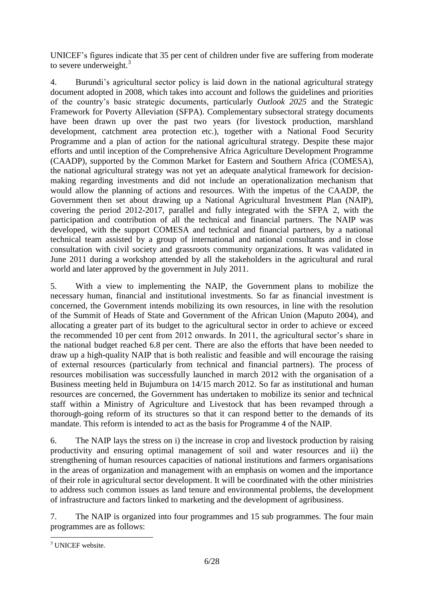UNICEF's figures indicate that 35 per cent of children under five are suffering from moderate to severe underweight. $3$ 

4. Burundi's agricultural sector policy is laid down in the national agricultural strategy document adopted in 2008, which takes into account and follows the guidelines and priorities of the country's basic strategic documents, particularly *Outlook 2025* and the Strategic Framework for Poverty Alleviation (SFPA). Complementary subsectoral strategy documents have been drawn up over the past two years (for livestock production, marshland development, catchment area protection etc.), together with a National Food Security Programme and a plan of action for the national agricultural strategy. Despite these major efforts and until inception of the Comprehensive Africa Agriculture Development Programme (CAADP), supported by the Common Market for Eastern and Southern Africa (COMESA), the national agricultural strategy was not yet an adequate analytical framework for decisionmaking regarding investments and did not include an operationalization mechanism that would allow the planning of actions and resources. With the impetus of the CAADP, the Government then set about drawing up a National Agricultural Investment Plan (NAIP), covering the period 2012-2017, parallel and fully integrated with the SFPA 2, with the participation and contribution of all the technical and financial partners. The NAIP was developed, with the support COMESA and technical and financial partners, by a national technical team assisted by a group of international and national consultants and in close consultation with civil society and grassroots community organizations. It was validated in June 2011 during a workshop attended by all the stakeholders in the agricultural and rural world and later approved by the government in July 2011.

5. With a view to implementing the NAIP, the Government plans to mobilize the necessary human, financial and institutional investments. So far as financial investment is concerned, the Government intends mobilizing its own resources, in line with the resolution of the Summit of Heads of State and Government of the African Union (Maputo 2004), and allocating a greater part of its budget to the agricultural sector in order to achieve or exceed the recommended 10 per cent from 2012 onwards. In 2011, the agricultural sector's share in the national budget reached 6.8 per cent. There are also the efforts that have been needed to draw up a high-quality NAIP that is both realistic and feasible and will encourage the raising of external resources (particularly from technical and financial partners). The process of resources mobilisation was successfully launched in march 2012 with the organisation of a Business meeting held in Bujumbura on 14/15 march 2012. So far as institutional and human resources are concerned, the Government has undertaken to mobilize its senior and technical staff within a Ministry of Agriculture and Livestock that has been revamped through a thorough-going reform of its structures so that it can respond better to the demands of its mandate. This reform is intended to act as the basis for Programme 4 of the NAIP.

6. The NAIP lays the stress on i) the increase in crop and livestock production by raising productivity and ensuring optimal management of soil and water resources and ii) the strengthening of human resources capacities of national institutions and farmers organisations in the areas of organization and management with an emphasis on women and the importance of their role in agricultural sector development. It will be coordinated with the other ministries to address such common issues as land tenure and environmental problems, the development of infrastructure and factors linked to marketing and the development of agribusiness.

7. The NAIP is organized into four programmes and 15 sub programmes. The four main programmes are as follows:

<sup>1</sup> <sup>3</sup> UNICEF website.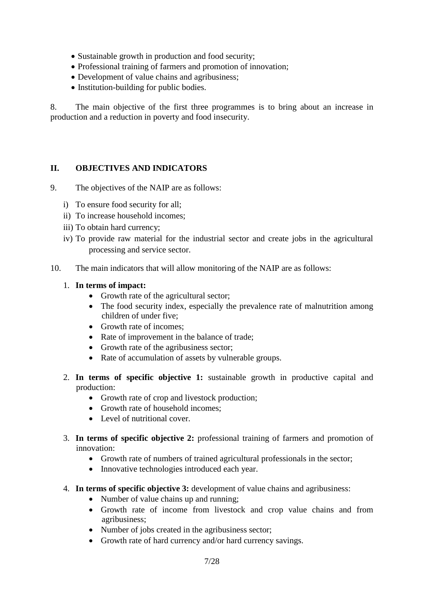- Sustainable growth in production and food security;
- Professional training of farmers and promotion of innovation;
- Development of value chains and agribusiness;
- Institution-building for public bodies.

8. The main objective of the first three programmes is to bring about an increase in production and a reduction in poverty and food insecurity.

## <span id="page-6-0"></span>**II. OBJECTIVES AND INDICATORS**

- 9. The objectives of the NAIP are as follows:
	- i) To ensure food security for all;
	- ii) To increase household incomes;
	- iii) To obtain hard currency;
	- iv) To provide raw material for the industrial sector and create jobs in the agricultural processing and service sector.
- 10. The main indicators that will allow monitoring of the NAIP are as follows:

### 1. **In terms of impact:**

- Growth rate of the agricultural sector;
- The food security index, especially the prevalence rate of malnutrition among children of under five;
- Growth rate of incomes:
- Rate of improvement in the balance of trade;
- Growth rate of the agribusiness sector:
- Rate of accumulation of assets by vulnerable groups.
- 2. **In terms of specific objective 1:** sustainable growth in productive capital and production:
	- Growth rate of crop and livestock production;
	- Growth rate of household incomes:
	- Level of nutritional cover.
- 3. **In terms of specific objective 2:** professional training of farmers and promotion of innovation:
	- Growth rate of numbers of trained agricultural professionals in the sector;
	- Innovative technologies introduced each year.
- 4. **In terms of specific objective 3:** development of value chains and agribusiness:
	- Number of value chains up and running;
	- Growth rate of income from livestock and crop value chains and from agribusiness;
	- Number of jobs created in the agribusiness sector;
	- Growth rate of hard currency and/or hard currency savings.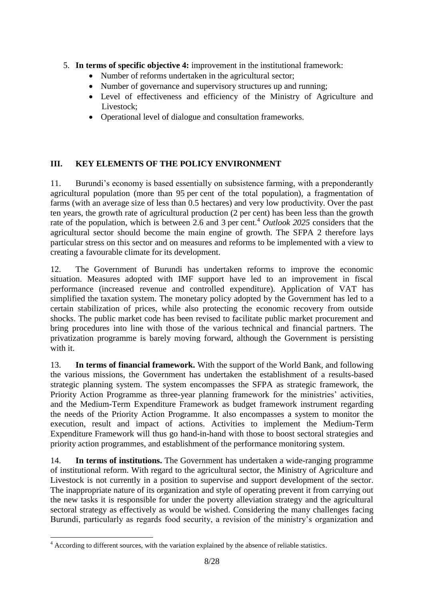- 5. **In terms of specific objective 4:** improvement in the institutional framework:
	- Number of reforms undertaken in the agricultural sector;
	- Number of governance and supervisory structures up and running;
	- Level of effectiveness and efficiency of the Ministry of Agriculture and Livestock;
	- Operational level of dialogue and consultation frameworks.

## <span id="page-7-0"></span>**III. KEY ELEMENTS OF THE POLICY ENVIRONMENT**

11. Burundi's economy is based essentially on subsistence farming, with a preponderantly agricultural population (more than 95 per cent of the total population), a fragmentation of farms (with an average size of less than 0.5 hectares) and very low productivity. Over the past ten years, the growth rate of agricultural production (2 per cent) has been less than the growth rate of the population, which is between 2.6 and 3 per cent.<sup>4</sup> *Outlook 2025* considers that the agricultural sector should become the main engine of growth. The SFPA 2 therefore lays particular stress on this sector and on measures and reforms to be implemented with a view to creating a favourable climate for its development.

12. The Government of Burundi has undertaken reforms to improve the economic situation. Measures adopted with IMF support have led to an improvement in fiscal performance (increased revenue and controlled expenditure). Application of VAT has simplified the taxation system. The monetary policy adopted by the Government has led to a certain stabilization of prices, while also protecting the economic recovery from outside shocks. The public market code has been revised to facilitate public market procurement and bring procedures into line with those of the various technical and financial partners. The privatization programme is barely moving forward, although the Government is persisting with it.

13. **In terms of financial framework.** With the support of the World Bank, and following the various missions, the Government has undertaken the establishment of a results-based strategic planning system. The system encompasses the SFPA as strategic framework, the Priority Action Programme as three-year planning framework for the ministries' activities, and the Medium-Term Expenditure Framework as budget framework instrument regarding the needs of the Priority Action Programme. It also encompasses a system to monitor the execution, result and impact of actions. Activities to implement the Medium-Term Expenditure Framework will thus go hand-in-hand with those to boost sectoral strategies and priority action programmes, and establishment of the performance monitoring system.

14. **In terms of institutions.** The Government has undertaken a wide-ranging programme of institutional reform. With regard to the agricultural sector, the Ministry of Agriculture and Livestock is not currently in a position to supervise and support development of the sector. The inappropriate nature of its organization and style of operating prevent it from carrying out the new tasks it is responsible for under the poverty alleviation strategy and the agricultural sectoral strategy as effectively as would be wished. Considering the many challenges facing Burundi, particularly as regards food security, a revision of the ministry's organization and

<sup>1</sup>  $4$  According to different sources, with the variation explained by the absence of reliable statistics.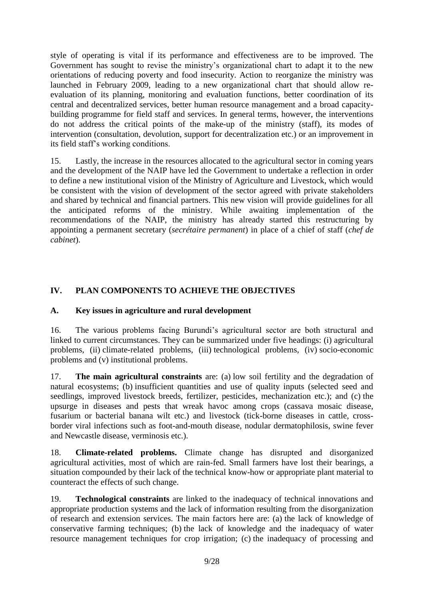style of operating is vital if its performance and effectiveness are to be improved. The Government has sought to revise the ministry's organizational chart to adapt it to the new orientations of reducing poverty and food insecurity. Action to reorganize the ministry was launched in February 2009, leading to a new organizational chart that should allow reevaluation of its planning, monitoring and evaluation functions, better coordination of its central and decentralized services, better human resource management and a broad capacitybuilding programme for field staff and services. In general terms, however, the interventions do not address the critical points of the make-up of the ministry (staff), its modes of intervention (consultation, devolution, support for decentralization etc.) or an improvement in its field staff's working conditions.

15. Lastly, the increase in the resources allocated to the agricultural sector in coming years and the development of the NAIP have led the Government to undertake a reflection in order to define a new institutional vision of the Ministry of Agriculture and Livestock, which would be consistent with the vision of development of the sector agreed with private stakeholders and shared by technical and financial partners. This new vision will provide guidelines for all the anticipated reforms of the ministry. While awaiting implementation of the recommendations of the NAIP, the ministry has already started this restructuring by appointing a permanent secretary (*secrétaire permanent*) in place of a chief of staff (*chef de cabinet*).

## <span id="page-8-0"></span>**IV. PLAN COMPONENTS TO ACHIEVE THE OBJECTIVES**

### **A. Key issues in agriculture and rural development**

16. The various problems facing Burundi's agricultural sector are both structural and linked to current circumstances. They can be summarized under five headings: (i) agricultural problems, (ii) climate-related problems, (iii) technological problems, (iv) socio-economic problems and (v) institutional problems.

17. **The main agricultural constraints** are: (a) low soil fertility and the degradation of natural ecosystems; (b) insufficient quantities and use of quality inputs (selected seed and seedlings, improved livestock breeds, fertilizer, pesticides, mechanization etc.); and (c) the upsurge in diseases and pests that wreak havoc among crops (cassava mosaic disease, fusarium or bacterial banana wilt etc.) and livestock (tick-borne diseases in cattle, crossborder viral infections such as foot-and-mouth disease, nodular dermatophilosis, swine fever and Newcastle disease, verminosis etc.).

18. **Climate-related problems.** Climate change has disrupted and disorganized agricultural activities, most of which are rain-fed. Small farmers have lost their bearings, a situation compounded by their lack of the technical know-how or appropriate plant material to counteract the effects of such change.

19. **Technological constraints** are linked to the inadequacy of technical innovations and appropriate production systems and the lack of information resulting from the disorganization of research and extension services. The main factors here are: (a) the lack of knowledge of conservative farming techniques; (b) the lack of knowledge and the inadequacy of water resource management techniques for crop irrigation; (c) the inadequacy of processing and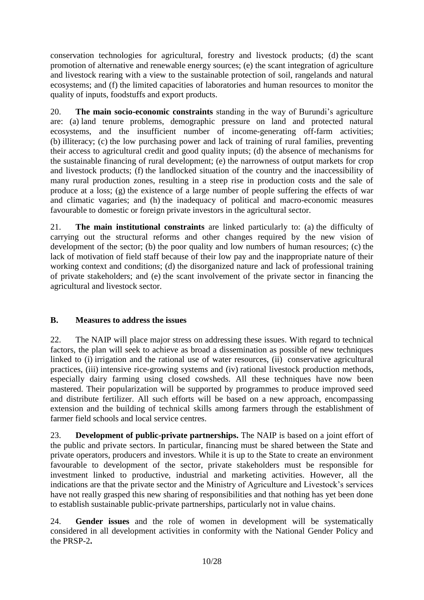conservation technologies for agricultural, forestry and livestock products; (d) the scant promotion of alternative and renewable energy sources; (e) the scant integration of agriculture and livestock rearing with a view to the sustainable protection of soil, rangelands and natural ecosystems; and (f) the limited capacities of laboratories and human resources to monitor the quality of inputs, foodstuffs and export products.

20. **The main socio-economic constraints** standing in the way of Burundi's agriculture are: (a) land tenure problems, demographic pressure on land and protected natural ecosystems, and the insufficient number of income-generating off-farm activities; (b) illiteracy; (c) the low purchasing power and lack of training of rural families, preventing their access to agricultural credit and good quality inputs; (d) the absence of mechanisms for the sustainable financing of rural development; (e) the narrowness of output markets for crop and livestock products; (f) the landlocked situation of the country and the inaccessibility of many rural production zones, resulting in a steep rise in production costs and the sale of produce at a loss; (g) the existence of a large number of people suffering the effects of war and climatic vagaries; and (h) the inadequacy of political and macro-economic measures favourable to domestic or foreign private investors in the agricultural sector.

21. **The main institutional constraints** are linked particularly to: (a) the difficulty of carrying out the structural reforms and other changes required by the new vision of development of the sector; (b) the poor quality and low numbers of human resources; (c) the lack of motivation of field staff because of their low pay and the inappropriate nature of their working context and conditions; (d) the disorganized nature and lack of professional training of private stakeholders; and (e) the scant involvement of the private sector in financing the agricultural and livestock sector.

## **B. Measures to address the issues**

22. The NAIP will place major stress on addressing these issues. With regard to technical factors, the plan will seek to achieve as broad a dissemination as possible of new techniques linked to (i) irrigation and the rational use of water resources, (ii) conservative agricultural practices, (iii) intensive rice-growing systems and (iv) rational livestock production methods, especially dairy farming using closed cowsheds. All these techniques have now been mastered. Their popularization will be supported by programmes to produce improved seed and distribute fertilizer. All such efforts will be based on a new approach, encompassing extension and the building of technical skills among farmers through the establishment of farmer field schools and local service centres.

23. **Development of public-private partnerships.** The NAIP is based on a joint effort of the public and private sectors. In particular, financing must be shared between the State and private operators, producers and investors. While it is up to the State to create an environment favourable to development of the sector, private stakeholders must be responsible for investment linked to productive, industrial and marketing activities. However, all the indications are that the private sector and the Ministry of Agriculture and Livestock's services have not really grasped this new sharing of responsibilities and that nothing has yet been done to establish sustainable public-private partnerships, particularly not in value chains.

24. **Gender issues** and the role of women in development will be systematically considered in all development activities in conformity with the National Gender Policy and the PRSP-2**.**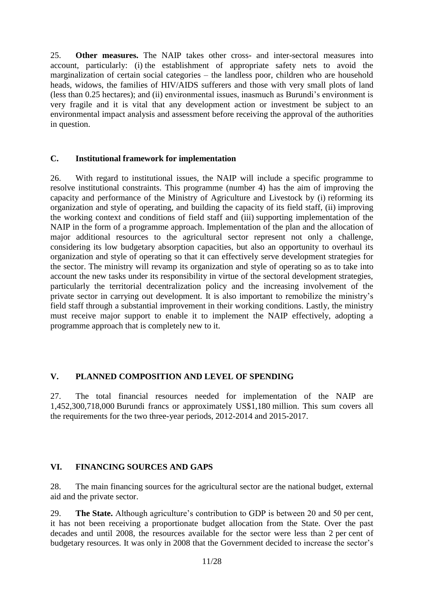25. **Other measures.** The NAIP takes other cross- and inter-sectoral measures into account, particularly: (i) the establishment of appropriate safety nets to avoid the marginalization of certain social categories – the landless poor, children who are household heads, widows, the families of HIV/AIDS sufferers and those with very small plots of land (less than 0.25 hectares); and (ii) environmental issues, inasmuch as Burundi's environment is very fragile and it is vital that any development action or investment be subject to an environmental impact analysis and assessment before receiving the approval of the authorities in question.

#### **C. Institutional framework for implementation**

26. With regard to institutional issues, the NAIP will include a specific programme to resolve institutional constraints. This programme (number 4) has the aim of improving the capacity and performance of the Ministry of Agriculture and Livestock by (i) reforming its organization and style of operating, and building the capacity of its field staff, (ii) improving the working context and conditions of field staff and (iii) supporting implementation of the NAIP in the form of a programme approach. Implementation of the plan and the allocation of major additional resources to the agricultural sector represent not only a challenge, considering its low budgetary absorption capacities, but also an opportunity to overhaul its organization and style of operating so that it can effectively serve development strategies for the sector. The ministry will revamp its organization and style of operating so as to take into account the new tasks under its responsibility in virtue of the sectoral development strategies, particularly the territorial decentralization policy and the increasing involvement of the private sector in carrying out development. It is also important to remobilize the ministry's field staff through a substantial improvement in their working conditions. Lastly, the ministry must receive major support to enable it to implement the NAIP effectively, adopting a programme approach that is completely new to it.

### <span id="page-10-0"></span>**V. PLANNED COMPOSITION AND LEVEL OF SPENDING**

27. The total financial resources needed for implementation of the NAIP are 1,452,300,718,000 Burundi francs or approximately US\$1,180 million. This sum covers all the requirements for the two three-year periods, 2012-2014 and 2015-2017.

## <span id="page-10-1"></span>**VI. FINANCING SOURCES AND GAPS**

28. The main financing sources for the agricultural sector are the national budget, external aid and the private sector.

29. **The State.** Although agriculture's contribution to GDP is between 20 and 50 per cent, it has not been receiving a proportionate budget allocation from the State. Over the past decades and until 2008, the resources available for the sector were less than 2 per cent of budgetary resources. It was only in 2008 that the Government decided to increase the sector's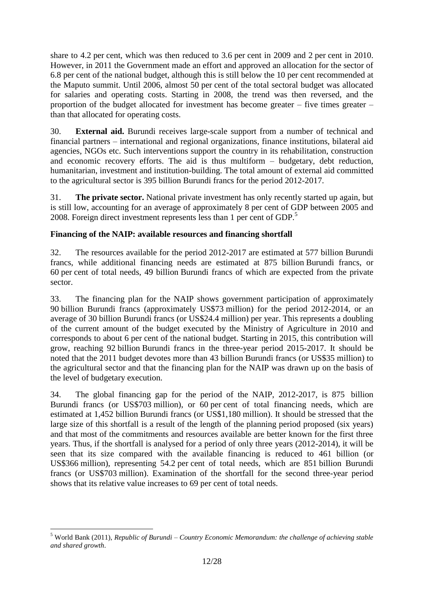share to 4.2 per cent, which was then reduced to 3.6 per cent in 2009 and 2 per cent in 2010. However, in 2011 the Government made an effort and approved an allocation for the sector of 6.8 per cent of the national budget, although this is still below the 10 per cent recommended at the Maputo summit. Until 2006, almost 50 per cent of the total sectoral budget was allocated for salaries and operating costs. Starting in 2008, the trend was then reversed, and the proportion of the budget allocated for investment has become greater – five times greater – than that allocated for operating costs.

30. **External aid.** Burundi receives large-scale support from a number of technical and financial partners – international and regional organizations, finance institutions, bilateral aid agencies, NGOs etc. Such interventions support the country in its rehabilitation, construction and economic recovery efforts. The aid is thus multiform – budgetary, debt reduction, humanitarian, investment and institution-building. The total amount of external aid committed to the agricultural sector is 395 billion Burundi francs for the period 2012-2017.

31. **The private sector.** National private investment has only recently started up again, but is still low, accounting for an average of approximately 8 per cent of GDP between 2005 and 2008. Foreign direct investment represents less than 1 per cent of GDP.<sup>5</sup>

## **Financing of the NAIP: available resources and financing shortfall**

32. The resources available for the period 2012-2017 are estimated at 577 billion Burundi francs, while additional financing needs are estimated at 875 billion Burundi francs, or 60 per cent of total needs, 49 billion Burundi francs of which are expected from the private sector.

33. The financing plan for the NAIP shows government participation of approximately 90 billion Burundi francs (approximately US\$73 million) for the period 2012-2014, or an average of 30 billion Burundi francs (or US\$24.4 million) per year. This represents a doubling of the current amount of the budget executed by the Ministry of Agriculture in 2010 and corresponds to about 6 per cent of the national budget. Starting in 2015, this contribution will grow, reaching 92 billion Burundi francs in the three-year period 2015-2017. It should be noted that the 2011 budget devotes more than 43 billion Burundi francs (or US\$35 million) to the agricultural sector and that the financing plan for the NAIP was drawn up on the basis of the level of budgetary execution.

34. The global financing gap for the period of the NAIP, 2012-2017, is 875 billion Burundi francs (or US\$703 million), or 60 per cent of total financing needs, which are estimated at 1,452 billion Burundi francs (or US\$1,180 million). It should be stressed that the large size of this shortfall is a result of the length of the planning period proposed (six years) and that most of the commitments and resources available are better known for the first three years. Thus, if the shortfall is analysed for a period of only three years (2012-2014), it will be seen that its size compared with the available financing is reduced to 461 billion (or US\$366 million), representing 54.2 per cent of total needs, which are 851 billion Burundi francs (or US\$703 million). Examination of the shortfall for the second three-year period shows that its relative value increases to 69 per cent of total needs.

<sup>&</sup>lt;u>.</u> <sup>5</sup> World Bank (2011), *Republic of Burundi – Country Economic Memorandum: the challenge of achieving stable and shared growth*.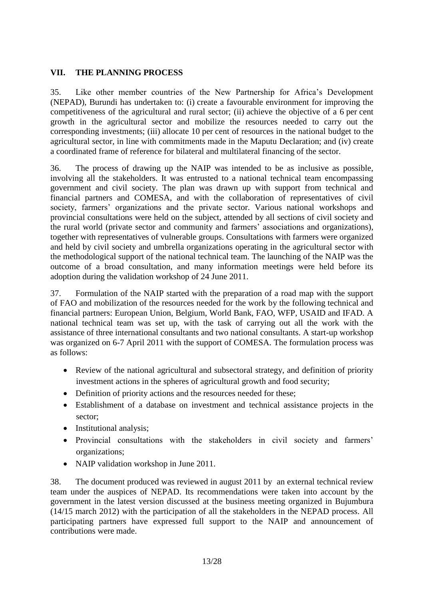## <span id="page-12-0"></span>**VII. THE PLANNING PROCESS**

35. Like other member countries of the New Partnership for Africa's Development (NEPAD), Burundi has undertaken to: (i) create a favourable environment for improving the competitiveness of the agricultural and rural sector; (ii) achieve the objective of a 6 per cent growth in the agricultural sector and mobilize the resources needed to carry out the corresponding investments; (iii) allocate 10 per cent of resources in the national budget to the agricultural sector, in line with commitments made in the Maputu Declaration; and (iv) create a coordinated frame of reference for bilateral and multilateral financing of the sector.

36. The process of drawing up the NAIP was intended to be as inclusive as possible, involving all the stakeholders. It was entrusted to a national technical team encompassing government and civil society. The plan was drawn up with support from technical and financial partners and COMESA, and with the collaboration of representatives of civil society, farmers' organizations and the private sector. Various national workshops and provincial consultations were held on the subject, attended by all sections of civil society and the rural world (private sector and community and farmers' associations and organizations), together with representatives of vulnerable groups. Consultations with farmers were organized and held by civil society and umbrella organizations operating in the agricultural sector with the methodological support of the national technical team. The launching of the NAIP was the outcome of a broad consultation, and many information meetings were held before its adoption during the validation workshop of 24 June 2011.

37. Formulation of the NAIP started with the preparation of a road map with the support of FAO and mobilization of the resources needed for the work by the following technical and financial partners: European Union, Belgium, World Bank, FAO, WFP, USAID and IFAD. A national technical team was set up, with the task of carrying out all the work with the assistance of three international consultants and two national consultants. A start-up workshop was organized on 6-7 April 2011 with the support of COMESA. The formulation process was as follows:

- Review of the national agricultural and subsectoral strategy, and definition of priority investment actions in the spheres of agricultural growth and food security;
- Definition of priority actions and the resources needed for these;
- Establishment of a database on investment and technical assistance projects in the sector;
- Institutional analysis;
- Provincial consultations with the stakeholders in civil society and farmers' organizations;
- NAIP validation workshop in June 2011.

38. The document produced was reviewed in august 2011 by an external technical review team under the auspices of NEPAD. Its recommendations were taken into account by the government in the latest version discussed at the business meeting organized in Bujumbura (14/15 march 2012) with the participation of all the stakeholders in the NEPAD process. All participating partners have expressed full support to the NAIP and announcement of contributions were made.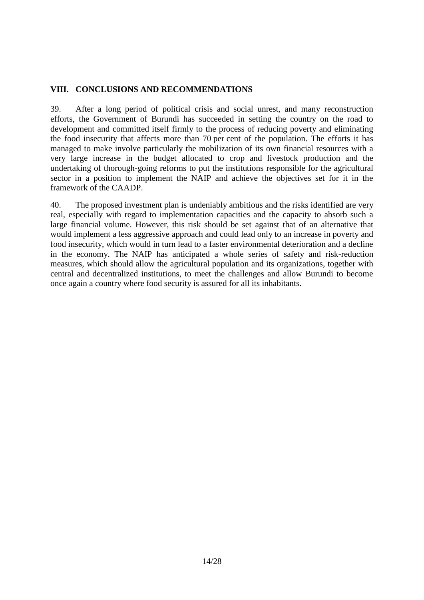### <span id="page-13-0"></span>**VIII. CONCLUSIONS AND RECOMMENDATIONS**

39. After a long period of political crisis and social unrest, and many reconstruction efforts, the Government of Burundi has succeeded in setting the country on the road to development and committed itself firmly to the process of reducing poverty and eliminating the food insecurity that affects more than 70 per cent of the population. The efforts it has managed to make involve particularly the mobilization of its own financial resources with a very large increase in the budget allocated to crop and livestock production and the undertaking of thorough-going reforms to put the institutions responsible for the agricultural sector in a position to implement the NAIP and achieve the objectives set for it in the framework of the CAADP.

40. The proposed investment plan is undeniably ambitious and the risks identified are very real, especially with regard to implementation capacities and the capacity to absorb such a large financial volume. However, this risk should be set against that of an alternative that would implement a less aggressive approach and could lead only to an increase in poverty and food insecurity, which would in turn lead to a faster environmental deterioration and a decline in the economy. The NAIP has anticipated a whole series of safety and risk-reduction measures, which should allow the agricultural population and its organizations, together with central and decentralized institutions, to meet the challenges and allow Burundi to become once again a country where food security is assured for all its inhabitants.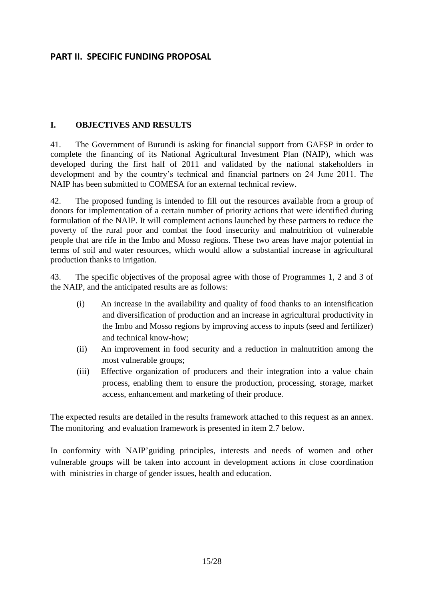## <span id="page-14-0"></span>**PART II. SPECIFIC FUNDING PROPOSAL**

#### <span id="page-14-1"></span>**I. OBJECTIVES AND RESULTS**

41. The Government of Burundi is asking for financial support from GAFSP in order to complete the financing of its National Agricultural Investment Plan (NAIP), which was developed during the first half of 2011 and validated by the national stakeholders in development and by the country's technical and financial partners on 24 June 2011. The NAIP has been submitted to COMESA for an external technical review.

42. The proposed funding is intended to fill out the resources available from a group of donors for implementation of a certain number of priority actions that were identified during formulation of the NAIP. It will complement actions launched by these partners to reduce the poverty of the rural poor and combat the food insecurity and malnutrition of vulnerable people that are rife in the Imbo and Mosso regions. These two areas have major potential in terms of soil and water resources, which would allow a substantial increase in agricultural production thanks to irrigation.

43. The specific objectives of the proposal agree with those of Programmes 1, 2 and 3 of the NAIP, and the anticipated results are as follows:

- (i) An increase in the availability and quality of food thanks to an intensification and diversification of production and an increase in agricultural productivity in the Imbo and Mosso regions by improving access to inputs (seed and fertilizer) and technical know-how;
- (ii) An improvement in food security and a reduction in malnutrition among the most vulnerable groups;
- (iii) Effective organization of producers and their integration into a value chain process, enabling them to ensure the production, processing, storage, market access, enhancement and marketing of their produce.

The expected results are detailed in the results framework attached to this request as an annex. The monitoring and evaluation framework is presented in item 2.7 below.

In conformity with NAIP'guiding principles, interests and needs of women and other vulnerable groups will be taken into account in development actions in close coordination with ministries in charge of gender issues, health and education.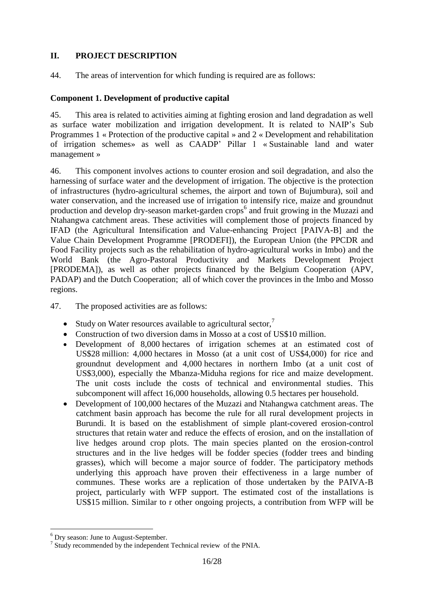## <span id="page-15-0"></span>**II. PROJECT DESCRIPTION**

44. The areas of intervention for which funding is required are as follows:

## **Component 1. Development of productive capital**

45. This area is related to activities aiming at fighting erosion and land degradation as well as surface water mobilization and irrigation development. It is related to NAIP's Sub Programmes 1 « Protection of the productive capital » and 2 « Development and rehabilitation of irrigation schemes» as well as CAADP' Pillar 1 « Sustainable land and water management »

46. This component involves actions to counter erosion and soil degradation, and also the harnessing of surface water and the development of irrigation. The objective is the protection of infrastructures (hydro-agricultural schemes, the airport and town of Bujumbura), soil and water conservation, and the increased use of irrigation to intensify rice, maize and groundnut production and develop dry-season market-garden crops<sup>6</sup> and fruit growing in the Muzazi and Ntahangwa catchment areas. These activities will complement those of projects financed by IFAD (the Agricultural Intensification and Value-enhancing Project [PAIVA-B] and the Value Chain Development Programme [PRODEFI]), the European Union (the PPCDR and Food Facility projects such as the rehabilitation of hydro-agricultural works in Imbo) and the World Bank (the Agro-Pastoral Productivity and Markets Development Project [PRODEMA]), as well as other projects financed by the Belgium Cooperation (APV, PADAP) and the Dutch Cooperation; all of which cover the provinces in the Imbo and Mosso regions.

47. The proposed activities are as follows:

- Study on Water resources available to agricultural sector.<sup>7</sup>
- Construction of two diversion dams in Mosso at a cost of US\$10 million.
- Development of 8,000 hectares of irrigation schemes at an estimated cost of US\$28 million: 4,000 hectares in Mosso (at a unit cost of US\$4,000) for rice and groundnut development and 4,000 hectares in northern Imbo (at a unit cost of US\$3,000), especially the Mbanza-Miduha regions for rice and maize development. The unit costs include the costs of technical and environmental studies. This subcomponent will affect 16,000 households, allowing 0.5 hectares per household.
- Development of 100,000 hectares of the Muzazi and Ntahangwa catchment areas. The catchment basin approach has become the rule for all rural development projects in Burundi. It is based on the establishment of simple plant-covered erosion-control structures that retain water and reduce the effects of erosion, and on the installation of live hedges around crop plots. The main species planted on the erosion-control structures and in the live hedges will be fodder species (fodder trees and binding grasses), which will become a major source of fodder. The participatory methods underlying this approach have proven their effectiveness in a large number of communes. These works are a replication of those undertaken by the PAIVA-B project, particularly with WFP support. The estimated cost of the installations is US\$15 million. Similar to r other ongoing projects, a contribution from WFP will be

<sup>&</sup>lt;u>.</u> <sup>6</sup> Dry season: June to August-September.

<sup>&</sup>lt;sup>7</sup> Study recommended by the independent Technical review of the PNIA.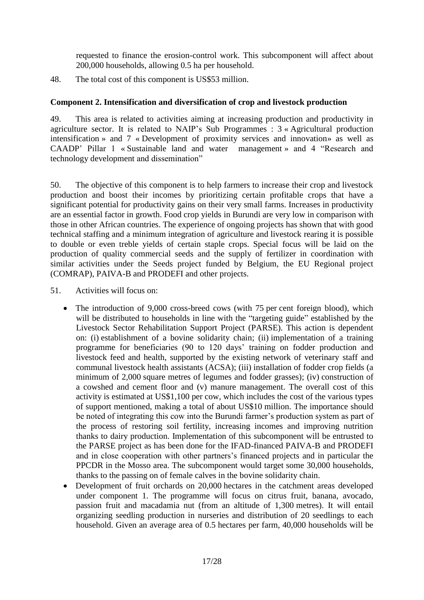requested to finance the erosion-control work. This subcomponent will affect about 200,000 households, allowing 0.5 ha per household.

48. The total cost of this component is US\$53 million.

## **Component 2. Intensification and diversification of crop and livestock production**

49. This area is related to activities aiming at increasing production and productivity in agriculture sector. It is related to NAIP's Sub Programmes : 3 « Agricultural production intensification » and 7 « Development of proximity services and innovation» as well as CAADP' Pillar 1 « Sustainable land and water management » and 4 "Research and technology development and dissemination"

50. The objective of this component is to help farmers to increase their crop and livestock production and boost their incomes by prioritizing certain profitable crops that have a significant potential for productivity gains on their very small farms. Increases in productivity are an essential factor in growth. Food crop yields in Burundi are very low in comparison with those in other African countries. The experience of ongoing projects has shown that with good technical staffing and a minimum integration of agriculture and livestock rearing it is possible to double or even treble yields of certain staple crops. Special focus will be laid on the production of quality commercial seeds and the supply of fertilizer in coordination with similar activities under the Seeds project funded by Belgium, the EU Regional project (COMRAP), PAIVA-B and PRODEFI and other projects.

51. Activities will focus on:

- The introduction of 9,000 cross-breed cows (with 75 per cent foreign blood), which will be distributed to households in line with the "targeting guide" established by the Livestock Sector Rehabilitation Support Project (PARSE). This action is dependent on: (i) establishment of a bovine solidarity chain; (ii) implementation of a training programme for beneficiaries (90 to 120 days' training on fodder production and livestock feed and health, supported by the existing network of veterinary staff and communal livestock health assistants (ACSA); (iii) installation of fodder crop fields (a minimum of 2,000 square metres of legumes and fodder grasses); (iv) construction of a cowshed and cement floor and (v) manure management. The overall cost of this activity is estimated at US\$1,100 per cow, which includes the cost of the various types of support mentioned, making a total of about US\$10 million. The importance should be noted of integrating this cow into the Burundi farmer's production system as part of the process of restoring soil fertility, increasing incomes and improving nutrition thanks to dairy production. Implementation of this subcomponent will be entrusted to the PARSE project as has been done for the IFAD-financed PAIVA-B and PRODEFI and in close cooperation with other partners's financed projects and in particular the PPCDR in the Mosso area. The subcomponent would target some 30,000 households, thanks to the passing on of female calves in the bovine solidarity chain.
- Development of fruit orchards on 20,000 hectares in the catchment areas developed under component 1. The programme will focus on citrus fruit, banana, avocado, passion fruit and macadamia nut (from an altitude of 1,300 metres). It will entail organizing seedling production in nurseries and distribution of 20 seedlings to each household. Given an average area of 0.5 hectares per farm, 40,000 households will be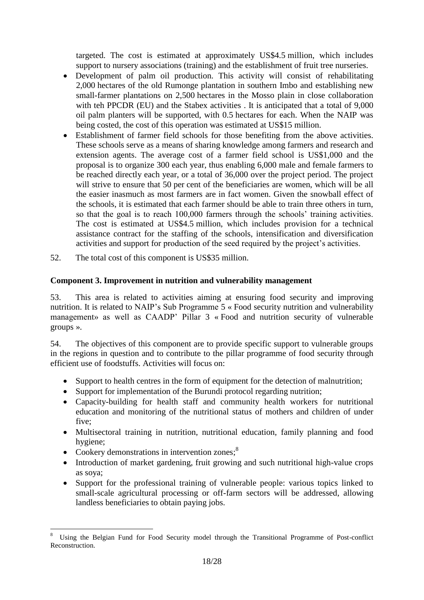targeted. The cost is estimated at approximately US\$4.5 million, which includes support to nursery associations (training) and the establishment of fruit tree nurseries.

- Development of palm oil production. This activity will consist of rehabilitating 2,000 hectares of the old Rumonge plantation in southern Imbo and establishing new small-farmer plantations on 2,500 hectares in the Mosso plain in close collaboration with teh PPCDR (EU) and the Stabex activities . It is anticipated that a total of 9,000 oil palm planters will be supported, with 0.5 hectares for each. When the NAIP was being costed, the cost of this operation was estimated at US\$15 million.
- Establishment of farmer field schools for those benefiting from the above activities. These schools serve as a means of sharing knowledge among farmers and research and extension agents. The average cost of a farmer field school is US\$1,000 and the proposal is to organize 300 each year, thus enabling 6,000 male and female farmers to be reached directly each year, or a total of 36,000 over the project period. The project will strive to ensure that 50 per cent of the beneficiaries are women, which will be all the easier inasmuch as most farmers are in fact women. Given the snowball effect of the schools, it is estimated that each farmer should be able to train three others in turn, so that the goal is to reach 100,000 farmers through the schools' training activities. The cost is estimated at US\$4.5 million, which includes provision for a technical assistance contract for the staffing of the schools, intensification and diversification activities and support for production of the seed required by the project's activities.
- 52. The total cost of this component is US\$35 million.

## **Component 3. Improvement in nutrition and vulnerability management**

53. This area is related to activities aiming at ensuring food security and improving nutrition. It is related to NAIP's Sub Programme 5 « Food security nutrition and vulnerability management» as well as CAADP' Pillar 3 « Food and nutrition security of vulnerable groups ».

54. The objectives of this component are to provide specific support to vulnerable groups in the regions in question and to contribute to the pillar programme of food security through efficient use of foodstuffs. Activities will focus on:

- Support to health centres in the form of equipment for the detection of malnutrition;
- Support for implementation of the Burundi protocol regarding nutrition;
- Capacity-building for health staff and community health workers for nutritional education and monitoring of the nutritional status of mothers and children of under five;
- Multisectoral training in nutrition, nutritional education, family planning and food hygiene;
- Cookery demonstrations in intervention zones; ${}^{8}$

<u>.</u>

- Introduction of market gardening, fruit growing and such nutritional high-value crops as soya;
- Support for the professional training of vulnerable people: various topics linked to small-scale agricultural processing or off-farm sectors will be addressed, allowing landless beneficiaries to obtain paying jobs.

<sup>8</sup> Using the Belgian Fund for Food Security model through the Transitional Programme of Post-conflict Reconstruction.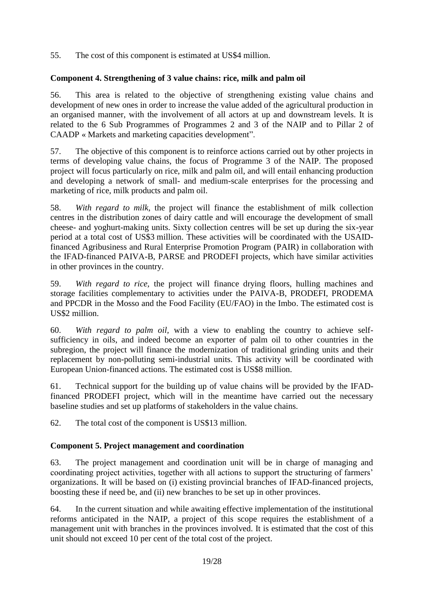55. The cost of this component is estimated at US\$4 million.

## **Component 4. Strengthening of 3 value chains: rice, milk and palm oil**

56. This area is related to the objective of strengthening existing value chains and development of new ones in order to increase the value added of the agricultural production in an organised manner, with the involvement of all actors at up and downstream levels. It is related to the 6 Sub Programmes of Programmes 2 and 3 of the NAIP and to Pillar 2 of CAADP « Markets and marketing capacities development".

57. The objective of this component is to reinforce actions carried out by other projects in terms of developing value chains, the focus of Programme 3 of the NAIP. The proposed project will focus particularly on rice, milk and palm oil, and will entail enhancing production and developing a network of small- and medium-scale enterprises for the processing and marketing of rice, milk products and palm oil.

58. *With regard to milk,* the project will finance the establishment of milk collection centres in the distribution zones of dairy cattle and will encourage the development of small cheese- and yoghurt-making units. Sixty collection centres will be set up during the six-year period at a total cost of US\$3 million. These activities will be coordinated with the USAIDfinanced Agribusiness and Rural Enterprise Promotion Program (PAIR) in collaboration with the IFAD-financed PAIVA-B, PARSE and PRODEFI projects, which have similar activities in other provinces in the country.

59. *With regard to rice,* the project will finance drying floors, hulling machines and storage facilities complementary to activities under the PAIVA-B, PRODEFI, PRODEMA and PPCDR in the Mosso and the Food Facility (EU/FAO) in the Imbo. The estimated cost is US\$2 million.

60. *With regard to palm oil,* with a view to enabling the country to achieve selfsufficiency in oils, and indeed become an exporter of palm oil to other countries in the subregion, the project will finance the modernization of traditional grinding units and their replacement by non-polluting semi-industrial units. This activity will be coordinated with European Union-financed actions. The estimated cost is US\$8 million.

61. Technical support for the building up of value chains will be provided by the IFADfinanced PRODEFI project, which will in the meantime have carried out the necessary baseline studies and set up platforms of stakeholders in the value chains.

62. The total cost of the component is US\$13 million.

### **Component 5. Project management and coordination**

63. The project management and coordination unit will be in charge of managing and coordinating project activities, together with all actions to support the structuring of farmers' organizations. It will be based on (i) existing provincial branches of IFAD-financed projects, boosting these if need be, and (ii) new branches to be set up in other provinces.

64. In the current situation and while awaiting effective implementation of the institutional reforms anticipated in the NAIP, a project of this scope requires the establishment of a management unit with branches in the provinces involved. It is estimated that the cost of this unit should not exceed 10 per cent of the total cost of the project.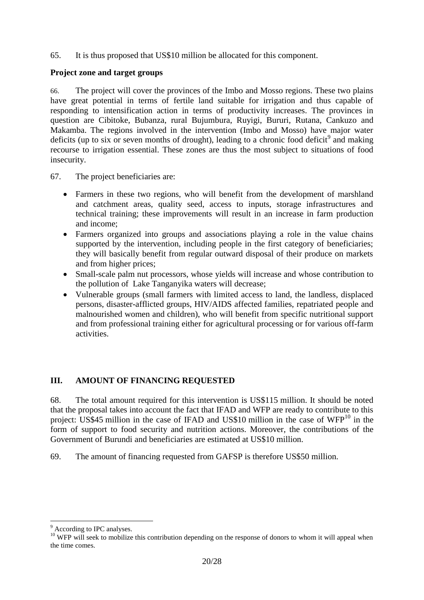65. It is thus proposed that US\$10 million be allocated for this component.

#### **Project zone and target groups**

66. The project will cover the provinces of the Imbo and Mosso regions. These two plains have great potential in terms of fertile land suitable for irrigation and thus capable of responding to intensification action in terms of productivity increases. The provinces in question are Cibitoke, Bubanza, rural Bujumbura, Ruyigi, Bururi, Rutana, Cankuzo and Makamba. The regions involved in the intervention (Imbo and Mosso) have major water deficits (up to six or seven months of drought), leading to a chronic food deficit<sup>9</sup> and making recourse to irrigation essential. These zones are thus the most subject to situations of food insecurity.

- 67. The project beneficiaries are:
	- Farmers in these two regions, who will benefit from the development of marshland and catchment areas, quality seed, access to inputs, storage infrastructures and technical training; these improvements will result in an increase in farm production and income;
	- Farmers organized into groups and associations playing a role in the value chains supported by the intervention, including people in the first category of beneficiaries; they will basically benefit from regular outward disposal of their produce on markets and from higher prices;
	- Small-scale palm nut processors, whose yields will increase and whose contribution to the pollution of Lake Tanganyika waters will decrease;
	- Vulnerable groups (small farmers with limited access to land, the landless, displaced persons, disaster-afflicted groups, HIV/AIDS affected families, repatriated people and malnourished women and children), who will benefit from specific nutritional support and from professional training either for agricultural processing or for various off-farm activities.

### <span id="page-19-0"></span>**III. AMOUNT OF FINANCING REQUESTED**

68. The total amount required for this intervention is US\$115 million. It should be noted that the proposal takes into account the fact that IFAD and WFP are ready to contribute to this project: US\$45 million in the case of IFAD and US\$10 million in the case of WFP<sup>10</sup> in the form of support to food security and nutrition actions. Moreover, the contributions of the Government of Burundi and beneficiaries are estimated at US\$10 million.

69. The amount of financing requested from GAFSP is therefore US\$50 million.

1

<sup>&</sup>lt;sup>9</sup> According to IPC analyses.

<sup>&</sup>lt;sup>10</sup> WFP will seek to mobilize this contribution depending on the response of donors to whom it will appeal when the time comes.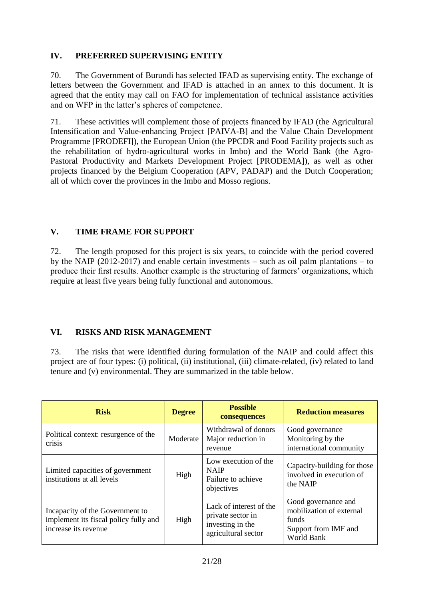## <span id="page-20-0"></span>**IV. PREFERRED SUPERVISING ENTITY**

70. The Government of Burundi has selected IFAD as supervising entity. The exchange of letters between the Government and IFAD is attached in an annex to this document. It is agreed that the entity may call on FAO for implementation of technical assistance activities and on WFP in the latter's spheres of competence.

71. These activities will complement those of projects financed by IFAD (the Agricultural Intensification and Value-enhancing Project [PAIVA-B] and the Value Chain Development Programme [PRODEFI]), the European Union (the PPCDR and Food Facility projects such as the rehabilitation of hydro-agricultural works in Imbo) and the World Bank (the Agro-Pastoral Productivity and Markets Development Project [PRODEMA]), as well as other projects financed by the Belgium Cooperation (APV, PADAP) and the Dutch Cooperation; all of which cover the provinces in the Imbo and Mosso regions.

### <span id="page-20-1"></span>**V. TIME FRAME FOR SUPPORT**

72. The length proposed for this project is six years, to coincide with the period covered by the NAIP (2012-2017) and enable certain investments – such as oil palm plantations – to produce their first results. Another example is the structuring of farmers' organizations, which require at least five years being fully functional and autonomous.

## <span id="page-20-2"></span>**VI. RISKS AND RISK MANAGEMENT**

73. The risks that were identified during formulation of the NAIP and could affect this project are of four types: (i) political, (ii) institutional, (iii) climate-related, (iv) related to land tenure and (v) environmental. They are summarized in the table below.

| <b>Risk</b>                                                                                      | <b>Degree</b> | <b>Possible</b><br>consequences                                                         | <b>Reduction measures</b>                                                                      |
|--------------------------------------------------------------------------------------------------|---------------|-----------------------------------------------------------------------------------------|------------------------------------------------------------------------------------------------|
| Political context: resurgence of the<br>crisis                                                   | Moderate      | Withdrawal of donors<br>Major reduction in<br>revenue                                   | Good governance<br>Monitoring by the<br>international community                                |
| Limited capacities of government<br>institutions at all levels                                   | High          | Low execution of the<br><b>NAIP</b><br>Failure to achieve<br>objectives                 | Capacity-building for those<br>involved in execution of<br>the NAIP                            |
| Incapacity of the Government to<br>implement its fiscal policy fully and<br>increase its revenue | High          | Lack of interest of the<br>private sector in<br>investing in the<br>agricultural sector | Good governance and<br>mobilization of external<br>funds<br>Support from IMF and<br>World Bank |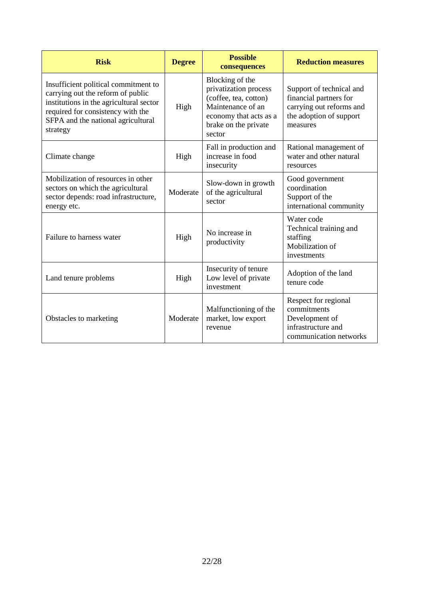| <b>Risk</b>                                                                                                                                                                                                                                                                                                                                                               | <b>Degree</b> | <b>Possible</b><br>consequences                            | <b>Reduction measures</b>                                                                                             |
|---------------------------------------------------------------------------------------------------------------------------------------------------------------------------------------------------------------------------------------------------------------------------------------------------------------------------------------------------------------------------|---------------|------------------------------------------------------------|-----------------------------------------------------------------------------------------------------------------------|
| Blocking of the<br>Insufficient political commitment to<br>privatization process<br>carrying out the reform of public<br>(coffee, tea, cotton)<br>institutions in the agricultural sector<br>Maintenance of an<br>High<br>required for consistency with the<br>economy that acts as a<br>SFPA and the national agricultural<br>brake on the private<br>strategy<br>sector |               |                                                            | Support of technical and<br>financial partners for<br>carrying out reforms and<br>the adoption of support<br>measures |
| Climate change                                                                                                                                                                                                                                                                                                                                                            | High          | Fall in production and<br>increase in food<br>insecurity   | Rational management of<br>water and other natural<br>resources                                                        |
| Mobilization of resources in other<br>sectors on which the agricultural<br>sector depends: road infrastructure,<br>energy etc.                                                                                                                                                                                                                                            | Moderate      | Slow-down in growth<br>of the agricultural<br>sector       | Good government<br>coordination<br>Support of the<br>international community                                          |
| No increase in<br>Failure to harness water<br>High<br>productivity                                                                                                                                                                                                                                                                                                        |               |                                                            | Water code<br>Technical training and<br>staffing<br>Mobilization of<br>investments                                    |
| Land tenure problems                                                                                                                                                                                                                                                                                                                                                      | High          | Insecurity of tenure<br>Low level of private<br>investment | Adoption of the land<br>tenure code                                                                                   |
| Moderate<br>Obstacles to marketing<br>revenue                                                                                                                                                                                                                                                                                                                             |               | Malfunctioning of the<br>market, low export                | Respect for regional<br>commitments<br>Development of<br>infrastructure and<br>communication networks                 |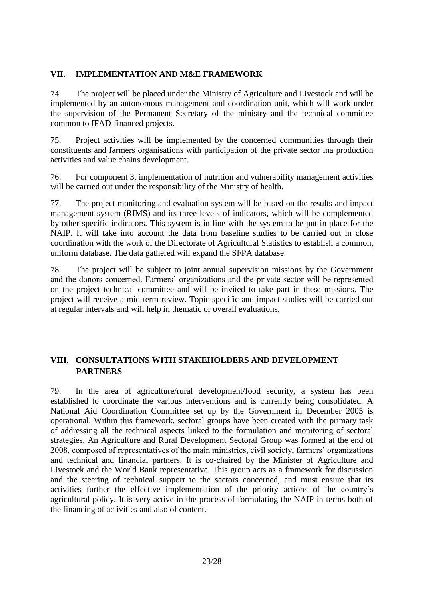## <span id="page-22-0"></span>**VII. IMPLEMENTATION AND M&E FRAMEWORK**

74. The project will be placed under the Ministry of Agriculture and Livestock and will be implemented by an autonomous management and coordination unit, which will work under the supervision of the Permanent Secretary of the ministry and the technical committee common to IFAD-financed projects.

75. Project activities will be implemented by the concerned communities through their constituents and farmers organisations with participation of the private sector ina production activities and value chains development.

76. For component 3, implementation of nutrition and vulnerability management activities will be carried out under the responsibility of the Ministry of health.

77. The project monitoring and evaluation system will be based on the results and impact management system (RIMS) and its three levels of indicators, which will be complemented by other specific indicators. This system is in line with the system to be put in place for the NAIP. It will take into account the data from baseline studies to be carried out in close coordination with the work of the Directorate of Agricultural Statistics to establish a common, uniform database. The data gathered will expand the SFPA database.

78. The project will be subject to joint annual supervision missions by the Government and the donors concerned. Farmers' organizations and the private sector will be represented on the project technical committee and will be invited to take part in these missions. The project will receive a mid-term review. Topic-specific and impact studies will be carried out at regular intervals and will help in thematic or overall evaluations.

## <span id="page-22-1"></span>**VIII. CONSULTATIONS WITH STAKEHOLDERS AND DEVELOPMENT PARTNERS**

79. In the area of agriculture/rural development/food security, a system has been established to coordinate the various interventions and is currently being consolidated. A National Aid Coordination Committee set up by the Government in December 2005 is operational. Within this framework, sectoral groups have been created with the primary task of addressing all the technical aspects linked to the formulation and monitoring of sectoral strategies. An Agriculture and Rural Development Sectoral Group was formed at the end of 2008, composed of representatives of the main ministries, civil society, farmers' organizations and technical and financial partners. It is co-chaired by the Minister of Agriculture and Livestock and the World Bank representative. This group acts as a framework for discussion and the steering of technical support to the sectors concerned, and must ensure that its activities further the effective implementation of the priority actions of the country's agricultural policy. It is very active in the process of formulating the NAIP in terms both of the financing of activities and also of content.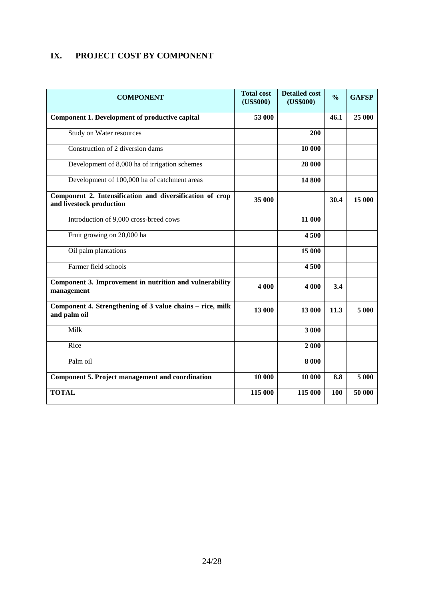## <span id="page-23-0"></span>**IX. PROJECT COST BY COMPONENT**

| <b>COMPONENT</b>                                                                     | <b>Total cost</b><br>(US\$000) | <b>Detailed cost</b><br>(US\$000) | $\frac{0}{0}$ | <b>GAFSP</b> |
|--------------------------------------------------------------------------------------|--------------------------------|-----------------------------------|---------------|--------------|
| Component 1. Development of productive capital                                       | 53 000                         |                                   | 46.1          | 25 000       |
| Study on Water resources                                                             |                                | 200                               |               |              |
| Construction of 2 diversion dams                                                     |                                | 10 000                            |               |              |
| Development of 8,000 ha of irrigation schemes                                        |                                | 28 000                            |               |              |
| Development of 100,000 ha of catchment areas                                         |                                | 14 800                            |               |              |
| Component 2. Intensification and diversification of crop<br>and livestock production | 35 000                         |                                   | 30.4          | 15 000       |
| Introduction of 9,000 cross-breed cows                                               |                                | 11 000                            |               |              |
| Fruit growing on 20,000 ha                                                           |                                | 4 500                             |               |              |
| Oil palm plantations                                                                 |                                | 15 000                            |               |              |
| Farmer field schools                                                                 |                                | 4500                              |               |              |
| Component 3. Improvement in nutrition and vulnerability<br>management                | 4 000                          | 4 000                             | 3.4           |              |
| Component 4. Strengthening of 3 value chains – rice, milk<br>and palm oil            | 13 000                         | 13 000                            | 11.3          | 5 000        |
| Milk                                                                                 |                                | 3 000                             |               |              |
| Rice                                                                                 |                                | 2 000                             |               |              |
| Palm oil                                                                             |                                | 8 0 0 0                           |               |              |
| <b>Component 5. Project management and coordination</b>                              | 10 000                         | 10 000                            | 8.8           | 5 000        |
| <b>TOTAL</b>                                                                         | 115 000                        | 115 000                           | 100           | 50 000       |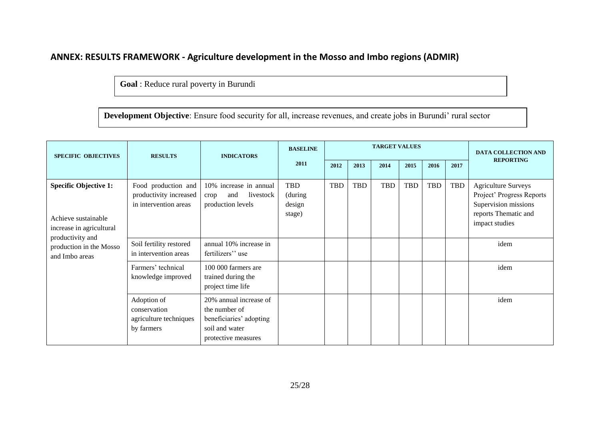## **ANNEX: RESULTS FRAMEWORK - Agriculture development in the Mosso and Imbo regions (ADMIR)**

**Goal** : Reduce rural poverty in Burundi

**Development Objective**: Ensure food security for all, increase revenues, and create jobs in Burundi' rural sector

<span id="page-24-0"></span>

| <b>SPECIFIC OBJECTIVES</b>                                                                                                                       | <b>RESULTS</b>                                                         | <b>INDICATORS</b>                                                                                           | <b>BASELINE</b>                    | <b>TARGET VALUES</b> |      |      |            |      |            | <b>DATA COLLECTION AND</b><br><b>REPORTING</b>                                                                            |
|--------------------------------------------------------------------------------------------------------------------------------------------------|------------------------------------------------------------------------|-------------------------------------------------------------------------------------------------------------|------------------------------------|----------------------|------|------|------------|------|------------|---------------------------------------------------------------------------------------------------------------------------|
|                                                                                                                                                  |                                                                        |                                                                                                             | 2011                               | 2012                 | 2013 | 2014 | 2015       | 2016 | 2017       |                                                                                                                           |
| <b>Specific Objective 1:</b><br>Achieve sustainable<br>increase in agricultural<br>productivity and<br>production in the Mosso<br>and Imbo areas | Food production and<br>productivity increased<br>in intervention areas | 10% increase in annual<br>livestock<br>and<br>crop<br>production levels                                     | TBD<br>(during<br>design<br>stage) | <b>TBD</b>           | TBD  | TBD  | <b>TBD</b> | TBD  | <b>TBD</b> | <b>Agriculture Surveys</b><br>Project' Progress Reports<br>Supervision missions<br>reports Thematic and<br>impact studies |
|                                                                                                                                                  | Soil fertility restored<br>in intervention areas                       | annual 10% increase in<br>fertilizers" use                                                                  |                                    |                      |      |      |            |      |            | idem                                                                                                                      |
|                                                                                                                                                  | Farmers' technical<br>knowledge improved                               | 100 000 farmers are<br>trained during the<br>project time life                                              |                                    |                      |      |      |            |      |            | idem                                                                                                                      |
|                                                                                                                                                  | Adoption of<br>conservation<br>agriculture techniques<br>by farmers    | 20% annual increase of<br>the number of<br>beneficiaries' adopting<br>soil and water<br>protective measures |                                    |                      |      |      |            |      |            | idem                                                                                                                      |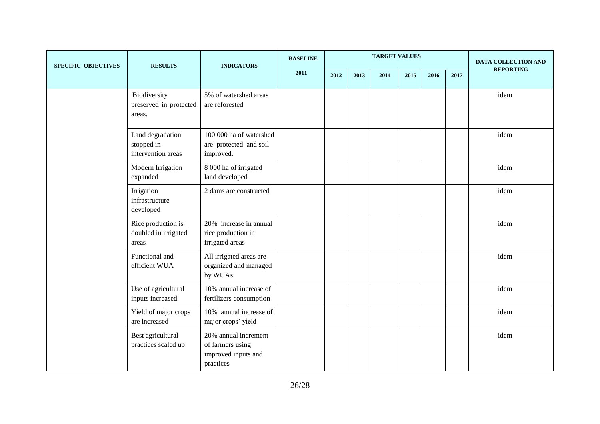| <b>SPECIFIC OBJECTIVES</b> | <b>RESULTS</b>                                       | <b>INDICATORS</b>                                                            | <b>BASELINE</b> | <b>TARGET VALUES</b> |      |      |      |      |      | DATA COLLECTION AND |  |
|----------------------------|------------------------------------------------------|------------------------------------------------------------------------------|-----------------|----------------------|------|------|------|------|------|---------------------|--|
|                            |                                                      |                                                                              | 2011            | 2012                 | 2013 | 2014 | 2015 | 2016 | 2017 | <b>REPORTING</b>    |  |
|                            | Biodiversity<br>preserved in protected<br>areas.     | 5% of watershed areas<br>are reforested                                      |                 |                      |      |      |      |      |      | idem                |  |
|                            | Land degradation<br>stopped in<br>intervention areas | 100 000 ha of watershed<br>are protected and soil<br>improved.               |                 |                      |      |      |      |      |      | idem                |  |
|                            | Modern Irrigation<br>expanded                        | 8 000 ha of irrigated<br>land developed                                      |                 |                      |      |      |      |      |      | idem                |  |
|                            | Irrigation<br>infrastructure<br>developed            | 2 dams are constructed                                                       |                 |                      |      |      |      |      |      | idem                |  |
|                            | Rice production is<br>doubled in irrigated<br>areas  | 20% increase in annual<br>rice production in<br>irrigated areas              |                 |                      |      |      |      |      |      | idem                |  |
|                            | Functional and<br>efficient WUA                      | All irrigated areas are<br>organized and managed<br>by WUAs                  |                 |                      |      |      |      |      |      | idem                |  |
|                            | Use of agricultural<br>inputs increased              | 10% annual increase of<br>fertilizers consumption                            |                 |                      |      |      |      |      |      | idem                |  |
|                            | Yield of major crops<br>are increased                | 10% annual increase of<br>major crops' yield                                 |                 |                      |      |      |      |      |      | idem                |  |
|                            | Best agricultural<br>practices scaled up             | 20% annual increment<br>of farmers using<br>improved inputs and<br>practices |                 |                      |      |      |      |      |      | idem                |  |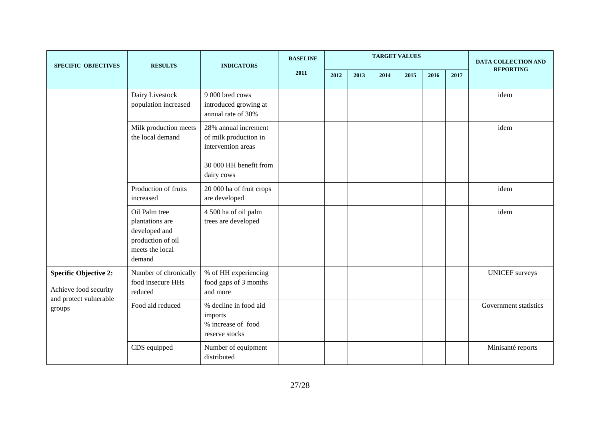| <b>SPECIFIC OBJECTIVES</b>                                                                | <b>RESULTS</b>                                                                                      | <b>INDICATORS</b>                                                                                           | <b>BASELINE</b> | <b>TARGET VALUES</b> |      |      |      |      | <b>DATA COLLECTION AND</b> |                       |
|-------------------------------------------------------------------------------------------|-----------------------------------------------------------------------------------------------------|-------------------------------------------------------------------------------------------------------------|-----------------|----------------------|------|------|------|------|----------------------------|-----------------------|
|                                                                                           |                                                                                                     |                                                                                                             | 2011            | 2012                 | 2013 | 2014 | 2015 | 2016 | 2017                       | <b>REPORTING</b>      |
|                                                                                           | Dairy Livestock<br>population increased                                                             | 9 000 bred cows<br>introduced growing at<br>annual rate of 30%                                              |                 |                      |      |      |      |      |                            | idem                  |
|                                                                                           | Milk production meets<br>the local demand                                                           | 28% annual increment<br>of milk production in<br>intervention areas<br>30 000 HH benefit from<br>dairy cows |                 |                      |      |      |      |      |                            | idem                  |
|                                                                                           | Production of fruits<br>increased                                                                   | 20 000 ha of fruit crops<br>are developed                                                                   |                 |                      |      |      |      |      |                            | idem                  |
|                                                                                           | Oil Palm tree<br>plantations are<br>developed and<br>production of oil<br>meets the local<br>demand | 4 500 ha of oil palm<br>trees are developed                                                                 |                 |                      |      |      |      |      |                            | idem                  |
| <b>Specific Objective 2:</b><br>Achieve food security<br>and protect vulnerable<br>groups | Number of chronically<br>food insecure HHs<br>reduced                                               | % of HH experiencing<br>food gaps of 3 months<br>and more                                                   |                 |                      |      |      |      |      |                            | <b>UNICEF</b> surveys |
|                                                                                           | Food aid reduced                                                                                    | % decline in food aid<br>imports<br>% increase of food<br>reserve stocks                                    |                 |                      |      |      |      |      |                            | Government statistics |
|                                                                                           | CDS equipped                                                                                        | Number of equipment<br>distributed                                                                          |                 |                      |      |      |      |      |                            | Minisanté reports     |